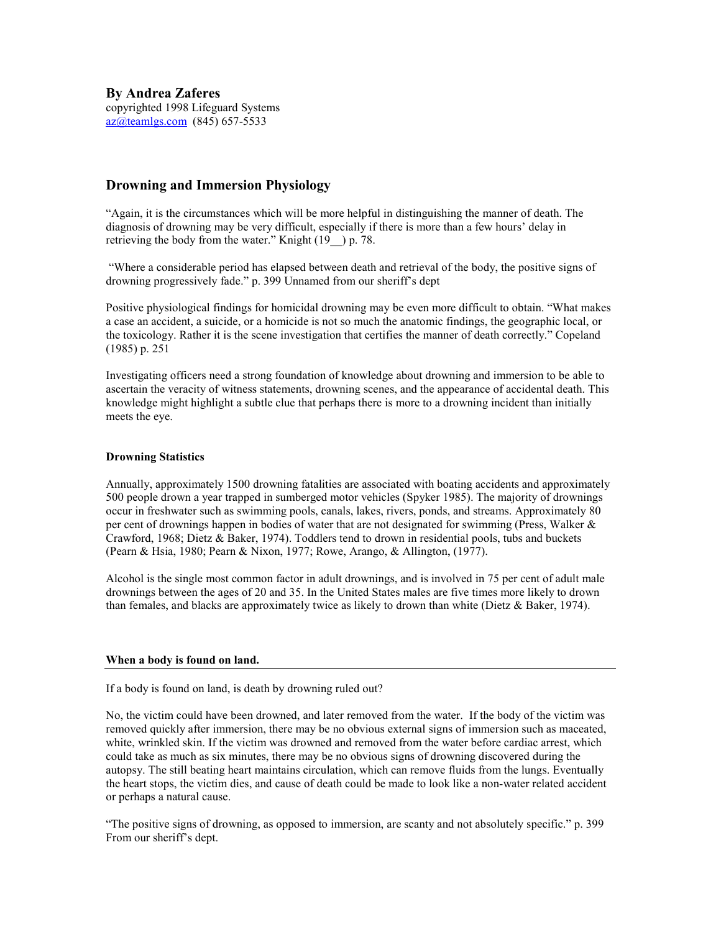By Andrea Zaferes copyrighted 1998 Lifeguard Systems az@teamlgs.com (845) 657-5533

# Drowning and Immersion Physiology

"Again, it is the circumstances which will be more helpful in distinguishing the manner of death. The diagnosis of drowning may be very difficult, especially if there is more than a few hours' delay in retrieving the body from the water." Knight  $(19\ \)$  p. 78.

 "Where a considerable period has elapsed between death and retrieval of the body, the positive signs of drowning progressively fade." p. 399 Unnamed from our sheriff's dept

Positive physiological findings for homicidal drowning may be even more difficult to obtain. "What makes a case an accident, a suicide, or a homicide is not so much the anatomic findings, the geographic local, or the toxicology. Rather it is the scene investigation that certifies the manner of death correctly." Copeland (1985) p. 251

Investigating officers need a strong foundation of knowledge about drowning and immersion to be able to ascertain the veracity of witness statements, drowning scenes, and the appearance of accidental death. This knowledge might highlight a subtle clue that perhaps there is more to a drowning incident than initially meets the eye.

### Drowning Statistics

Annually, approximately 1500 drowning fatalities are associated with boating accidents and approximately 500 people drown a year trapped in sumberged motor vehicles (Spyker 1985). The majority of drownings occur in freshwater such as swimming pools, canals, lakes, rivers, ponds, and streams. Approximately 80 per cent of drownings happen in bodies of water that are not designated for swimming (Press, Walker  $\&$ Crawford, 1968; Dietz & Baker, 1974). Toddlers tend to drown in residential pools, tubs and buckets (Pearn & Hsia, 1980; Pearn & Nixon, 1977; Rowe, Arango, & Allington, (1977).

Alcohol is the single most common factor in adult drownings, and is involved in 75 per cent of adult male drownings between the ages of 20 and 35. In the United States males are five times more likely to drown than females, and blacks are approximately twice as likely to drown than white (Dietz & Baker, 1974).

### When a body is found on land.

If a body is found on land, is death by drowning ruled out?

No, the victim could have been drowned, and later removed from the water. If the body of the victim was removed quickly after immersion, there may be no obvious external signs of immersion such as maceated, white, wrinkled skin. If the victim was drowned and removed from the water before cardiac arrest, which could take as much as six minutes, there may be no obvious signs of drowning discovered during the autopsy. The still beating heart maintains circulation, which can remove fluids from the lungs. Eventually the heart stops, the victim dies, and cause of death could be made to look like a non-water related accident or perhaps a natural cause.

"The positive signs of drowning, as opposed to immersion, are scanty and not absolutely specific." p. 399 From our sheriff's dept.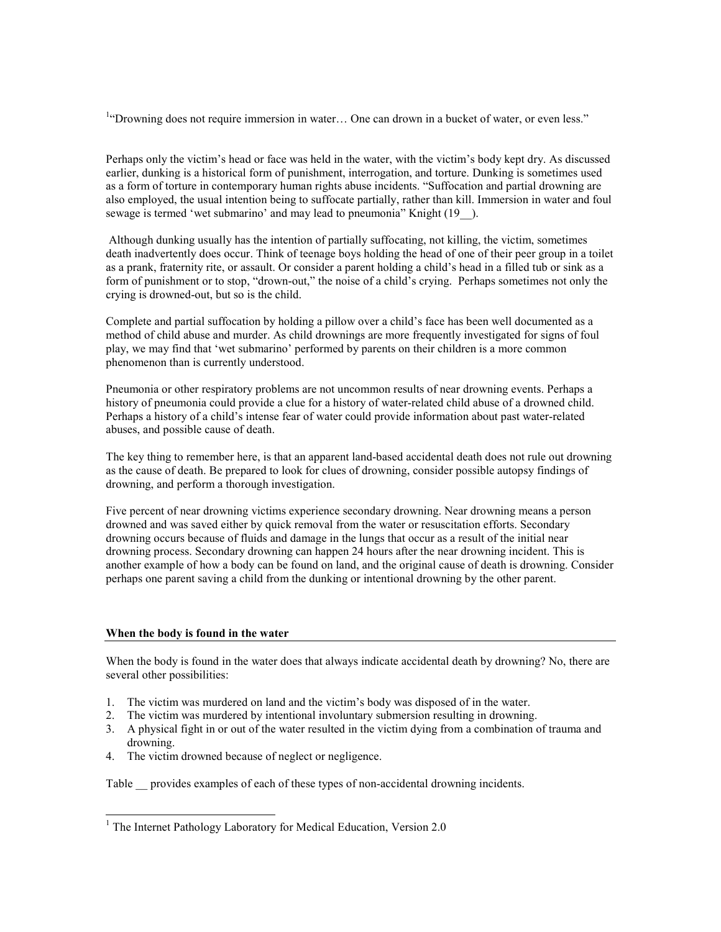<sup>1</sup>"Drowning does not require immersion in water... One can drown in a bucket of water, or even less."

Perhaps only the victim's head or face was held in the water, with the victim's body kept dry. As discussed earlier, dunking is a historical form of punishment, interrogation, and torture. Dunking is sometimes used as a form of torture in contemporary human rights abuse incidents. "Suffocation and partial drowning are also employed, the usual intention being to suffocate partially, rather than kill. Immersion in water and foul sewage is termed 'wet submarino' and may lead to pneumonia" Knight (19<sup>-1</sup>).

 Although dunking usually has the intention of partially suffocating, not killing, the victim, sometimes death inadvertently does occur. Think of teenage boys holding the head of one of their peer group in a toilet as a prank, fraternity rite, or assault. Or consider a parent holding a child's head in a filled tub or sink as a form of punishment or to stop, "drown-out," the noise of a child's crying. Perhaps sometimes not only the crying is drowned-out, but so is the child.

Complete and partial suffocation by holding a pillow over a child's face has been well documented as a method of child abuse and murder. As child drownings are more frequently investigated for signs of foul play, we may find that 'wet submarino' performed by parents on their children is a more common phenomenon than is currently understood.

Pneumonia or other respiratory problems are not uncommon results of near drowning events. Perhaps a history of pneumonia could provide a clue for a history of water-related child abuse of a drowned child. Perhaps a history of a child's intense fear of water could provide information about past water-related abuses, and possible cause of death.

The key thing to remember here, is that an apparent land-based accidental death does not rule out drowning as the cause of death. Be prepared to look for clues of drowning, consider possible autopsy findings of drowning, and perform a thorough investigation.

Five percent of near drowning victims experience secondary drowning. Near drowning means a person drowned and was saved either by quick removal from the water or resuscitation efforts. Secondary drowning occurs because of fluids and damage in the lungs that occur as a result of the initial near drowning process. Secondary drowning can happen 24 hours after the near drowning incident. This is another example of how a body can be found on land, and the original cause of death is drowning. Consider perhaps one parent saving a child from the dunking or intentional drowning by the other parent.

### When the body is found in the water

When the body is found in the water does that always indicate accidental death by drowning? No, there are several other possibilities:

- 1. The victim was murdered on land and the victim's body was disposed of in the water.
- 2. The victim was murdered by intentional involuntary submersion resulting in drowning.
- 3. A physical fight in or out of the water resulted in the victim dying from a combination of trauma and drowning.
- 4. The victim drowned because of neglect or negligence.

Table provides examples of each of these types of non-accidental drowning incidents.

<sup>&</sup>lt;sup>1</sup> The Internet Pathology Laboratory for Medical Education, Version 2.0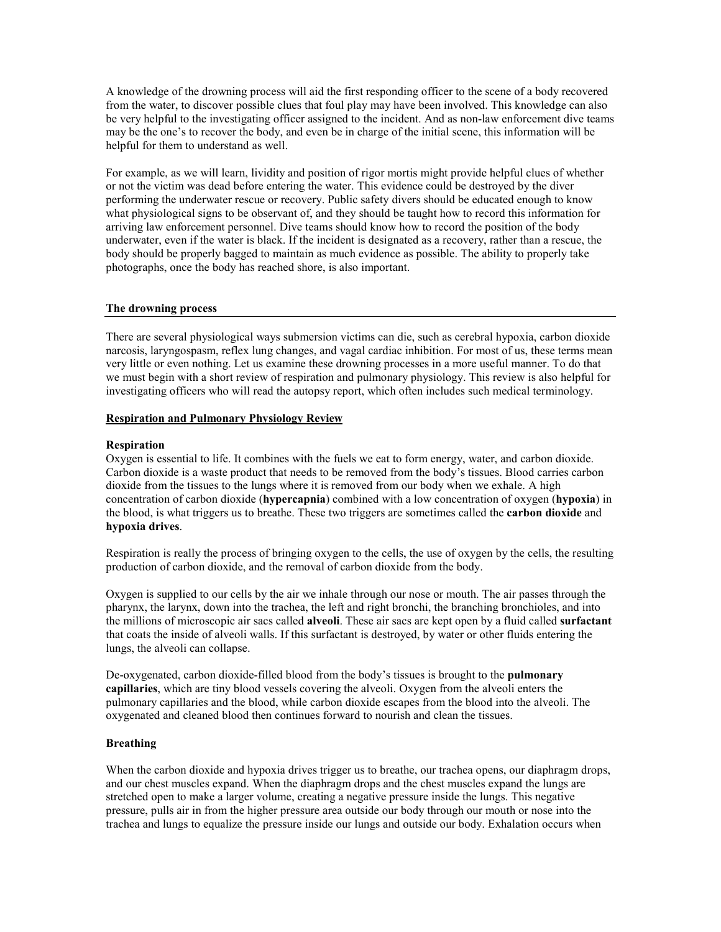A knowledge of the drowning process will aid the first responding officer to the scene of a body recovered from the water, to discover possible clues that foul play may have been involved. This knowledge can also be very helpful to the investigating officer assigned to the incident. And as non-law enforcement dive teams may be the one's to recover the body, and even be in charge of the initial scene, this information will be helpful for them to understand as well.

For example, as we will learn, lividity and position of rigor mortis might provide helpful clues of whether or not the victim was dead before entering the water. This evidence could be destroyed by the diver performing the underwater rescue or recovery. Public safety divers should be educated enough to know what physiological signs to be observant of, and they should be taught how to record this information for arriving law enforcement personnel. Dive teams should know how to record the position of the body underwater, even if the water is black. If the incident is designated as a recovery, rather than a rescue, the body should be properly bagged to maintain as much evidence as possible. The ability to properly take photographs, once the body has reached shore, is also important.

### The drowning process

There are several physiological ways submersion victims can die, such as cerebral hypoxia, carbon dioxide narcosis, laryngospasm, reflex lung changes, and vagal cardiac inhibition. For most of us, these terms mean very little or even nothing. Let us examine these drowning processes in a more useful manner. To do that we must begin with a short review of respiration and pulmonary physiology. This review is also helpful for investigating officers who will read the autopsy report, which often includes such medical terminology.

### Respiration and Pulmonary Physiology Review

### Respiration

Oxygen is essential to life. It combines with the fuels we eat to form energy, water, and carbon dioxide. Carbon dioxide is a waste product that needs to be removed from the body's tissues. Blood carries carbon dioxide from the tissues to the lungs where it is removed from our body when we exhale. A high concentration of carbon dioxide (hypercapnia) combined with a low concentration of oxygen (hypoxia) in the blood, is what triggers us to breathe. These two triggers are sometimes called the **carbon dioxide** and hypoxia drives.

Respiration is really the process of bringing oxygen to the cells, the use of oxygen by the cells, the resulting production of carbon dioxide, and the removal of carbon dioxide from the body.

Oxygen is supplied to our cells by the air we inhale through our nose or mouth. The air passes through the pharynx, the larynx, down into the trachea, the left and right bronchi, the branching bronchioles, and into the millions of microscopic air sacs called alveoli. These air sacs are kept open by a fluid called surfactant that coats the inside of alveoli walls. If this surfactant is destroyed, by water or other fluids entering the lungs, the alveoli can collapse.

De-oxygenated, carbon dioxide-filled blood from the body's tissues is brought to the **pulmonary** capillaries, which are tiny blood vessels covering the alveoli. Oxygen from the alveoli enters the pulmonary capillaries and the blood, while carbon dioxide escapes from the blood into the alveoli. The oxygenated and cleaned blood then continues forward to nourish and clean the tissues.

### Breathing

When the carbon dioxide and hypoxia drives trigger us to breathe, our trachea opens, our diaphragm drops, and our chest muscles expand. When the diaphragm drops and the chest muscles expand the lungs are stretched open to make a larger volume, creating a negative pressure inside the lungs. This negative pressure, pulls air in from the higher pressure area outside our body through our mouth or nose into the trachea and lungs to equalize the pressure inside our lungs and outside our body. Exhalation occurs when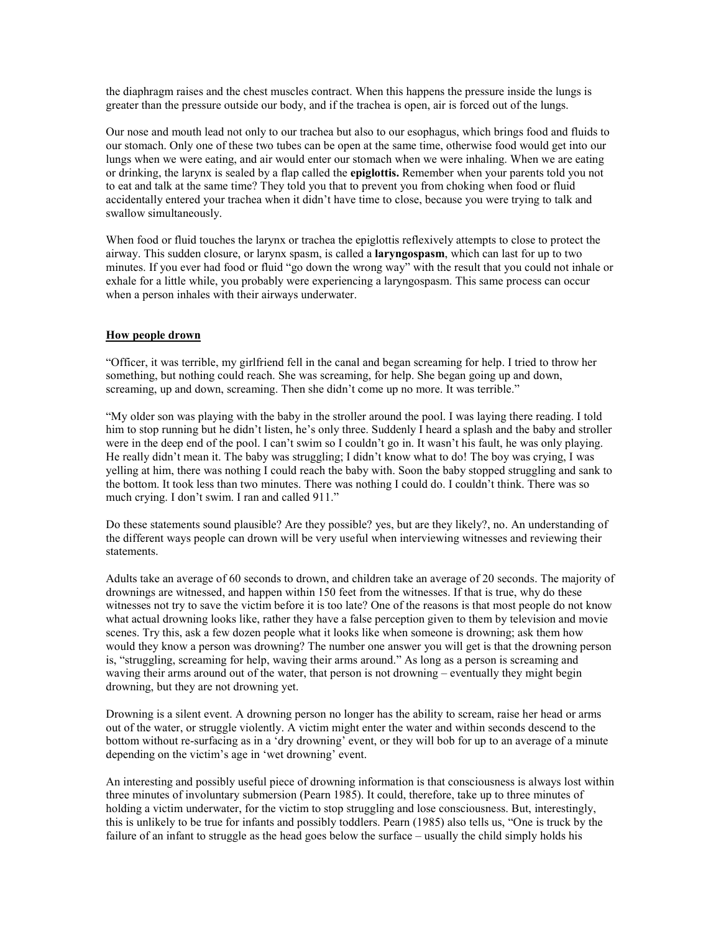the diaphragm raises and the chest muscles contract. When this happens the pressure inside the lungs is greater than the pressure outside our body, and if the trachea is open, air is forced out of the lungs.

Our nose and mouth lead not only to our trachea but also to our esophagus, which brings food and fluids to our stomach. Only one of these two tubes can be open at the same time, otherwise food would get into our lungs when we were eating, and air would enter our stomach when we were inhaling. When we are eating or drinking, the larynx is sealed by a flap called the **epiglottis.** Remember when your parents told you not to eat and talk at the same time? They told you that to prevent you from choking when food or fluid accidentally entered your trachea when it didn't have time to close, because you were trying to talk and swallow simultaneously.

When food or fluid touches the larynx or trachea the epiglottis reflexively attempts to close to protect the airway. This sudden closure, or larynx spasm, is called a **laryngospasm**, which can last for up to two minutes. If you ever had food or fluid "go down the wrong way" with the result that you could not inhale or exhale for a little while, you probably were experiencing a laryngospasm. This same process can occur when a person inhales with their airways underwater.

### How people drown

"Officer, it was terrible, my girlfriend fell in the canal and began screaming for help. I tried to throw her something, but nothing could reach. She was screaming, for help. She began going up and down, screaming, up and down, screaming. Then she didn't come up no more. It was terrible."

"My older son was playing with the baby in the stroller around the pool. I was laying there reading. I told him to stop running but he didn't listen, he's only three. Suddenly I heard a splash and the baby and stroller were in the deep end of the pool. I can't swim so I couldn't go in. It wasn't his fault, he was only playing. He really didn't mean it. The baby was struggling; I didn't know what to do! The boy was crying, I was yelling at him, there was nothing I could reach the baby with. Soon the baby stopped struggling and sank to the bottom. It took less than two minutes. There was nothing I could do. I couldn't think. There was so much crying. I don't swim. I ran and called 911."

Do these statements sound plausible? Are they possible? yes, but are they likely?, no. An understanding of the different ways people can drown will be very useful when interviewing witnesses and reviewing their statements.

Adults take an average of 60 seconds to drown, and children take an average of 20 seconds. The majority of drownings are witnessed, and happen within 150 feet from the witnesses. If that is true, why do these witnesses not try to save the victim before it is too late? One of the reasons is that most people do not know what actual drowning looks like, rather they have a false perception given to them by television and movie scenes. Try this, ask a few dozen people what it looks like when someone is drowning; ask them how would they know a person was drowning? The number one answer you will get is that the drowning person is, "struggling, screaming for help, waving their arms around." As long as a person is screaming and waving their arms around out of the water, that person is not drowning – eventually they might begin drowning, but they are not drowning yet.

Drowning is a silent event. A drowning person no longer has the ability to scream, raise her head or arms out of the water, or struggle violently. A victim might enter the water and within seconds descend to the bottom without re-surfacing as in a 'dry drowning' event, or they will bob for up to an average of a minute depending on the victim's age in 'wet drowning' event.

An interesting and possibly useful piece of drowning information is that consciousness is always lost within three minutes of involuntary submersion (Pearn 1985). It could, therefore, take up to three minutes of holding a victim underwater, for the victim to stop struggling and lose consciousness. But, interestingly, this is unlikely to be true for infants and possibly toddlers. Pearn (1985) also tells us, "One is truck by the failure of an infant to struggle as the head goes below the surface – usually the child simply holds his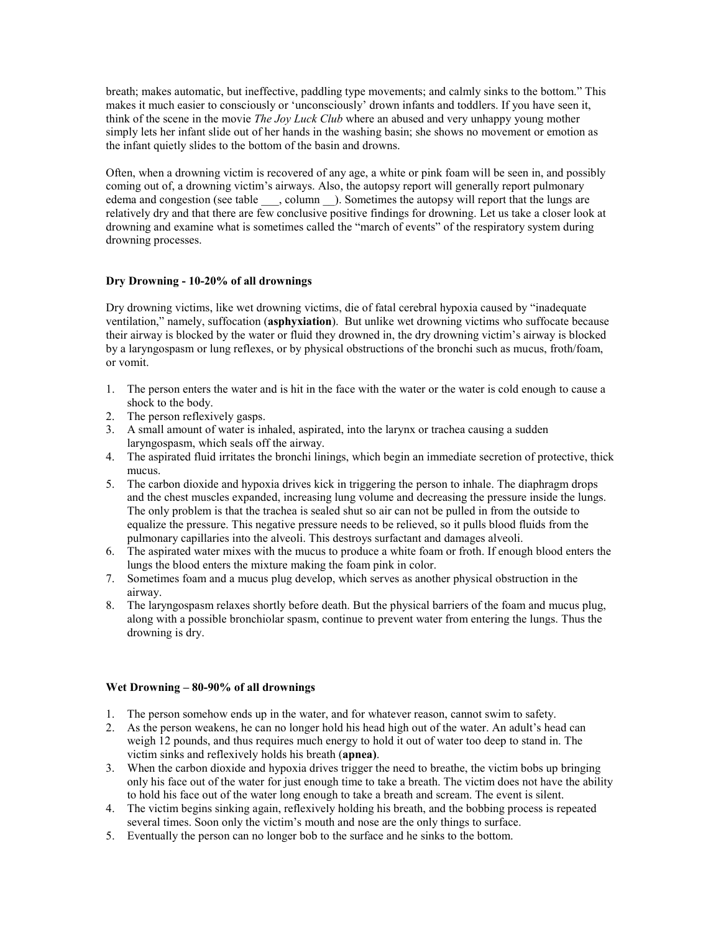breath; makes automatic, but ineffective, paddling type movements; and calmly sinks to the bottom." This makes it much easier to consciously or 'unconsciously' drown infants and toddlers. If you have seen it, think of the scene in the movie *The Joy Luck Club* where an abused and very unhappy young mother simply lets her infant slide out of her hands in the washing basin; she shows no movement or emotion as the infant quietly slides to the bottom of the basin and drowns.

Often, when a drowning victim is recovered of any age, a white or pink foam will be seen in, and possibly coming out of, a drowning victim's airways. Also, the autopsy report will generally report pulmonary edema and congestion (see table  $\_\_\_$ , column  $\_\_$ ). Sometimes the autopsy will report that the lungs are relatively dry and that there are few conclusive positive findings for drowning. Let us take a closer look at drowning and examine what is sometimes called the "march of events" of the respiratory system during drowning processes.

## Dry Drowning - 10-20% of all drownings

Dry drowning victims, like wet drowning victims, die of fatal cerebral hypoxia caused by "inadequate ventilation," namely, suffocation (asphyxiation). But unlike wet drowning victims who suffocate because their airway is blocked by the water or fluid they drowned in, the dry drowning victim's airway is blocked by a laryngospasm or lung reflexes, or by physical obstructions of the bronchi such as mucus, froth/foam, or vomit.

- 1. The person enters the water and is hit in the face with the water or the water is cold enough to cause a shock to the body.
- 2. The person reflexively gasps.
- 3. A small amount of water is inhaled, aspirated, into the larynx or trachea causing a sudden laryngospasm, which seals off the airway.
- 4. The aspirated fluid irritates the bronchi linings, which begin an immediate secretion of protective, thick mucus.
- 5. The carbon dioxide and hypoxia drives kick in triggering the person to inhale. The diaphragm drops and the chest muscles expanded, increasing lung volume and decreasing the pressure inside the lungs. The only problem is that the trachea is sealed shut so air can not be pulled in from the outside to equalize the pressure. This negative pressure needs to be relieved, so it pulls blood fluids from the pulmonary capillaries into the alveoli. This destroys surfactant and damages alveoli.
- 6. The aspirated water mixes with the mucus to produce a white foam or froth. If enough blood enters the lungs the blood enters the mixture making the foam pink in color.
- 7. Sometimes foam and a mucus plug develop, which serves as another physical obstruction in the airway.
- 8. The laryngospasm relaxes shortly before death. But the physical barriers of the foam and mucus plug, along with a possible bronchiolar spasm, continue to prevent water from entering the lungs. Thus the drowning is dry.

## Wet Drowning – 80-90% of all drownings

- 1. The person somehow ends up in the water, and for whatever reason, cannot swim to safety.
- 2. As the person weakens, he can no longer hold his head high out of the water. An adult's head can weigh 12 pounds, and thus requires much energy to hold it out of water too deep to stand in. The victim sinks and reflexively holds his breath (apnea).
- 3. When the carbon dioxide and hypoxia drives trigger the need to breathe, the victim bobs up bringing only his face out of the water for just enough time to take a breath. The victim does not have the ability to hold his face out of the water long enough to take a breath and scream. The event is silent.
- 4. The victim begins sinking again, reflexively holding his breath, and the bobbing process is repeated several times. Soon only the victim's mouth and nose are the only things to surface.
- 5. Eventually the person can no longer bob to the surface and he sinks to the bottom.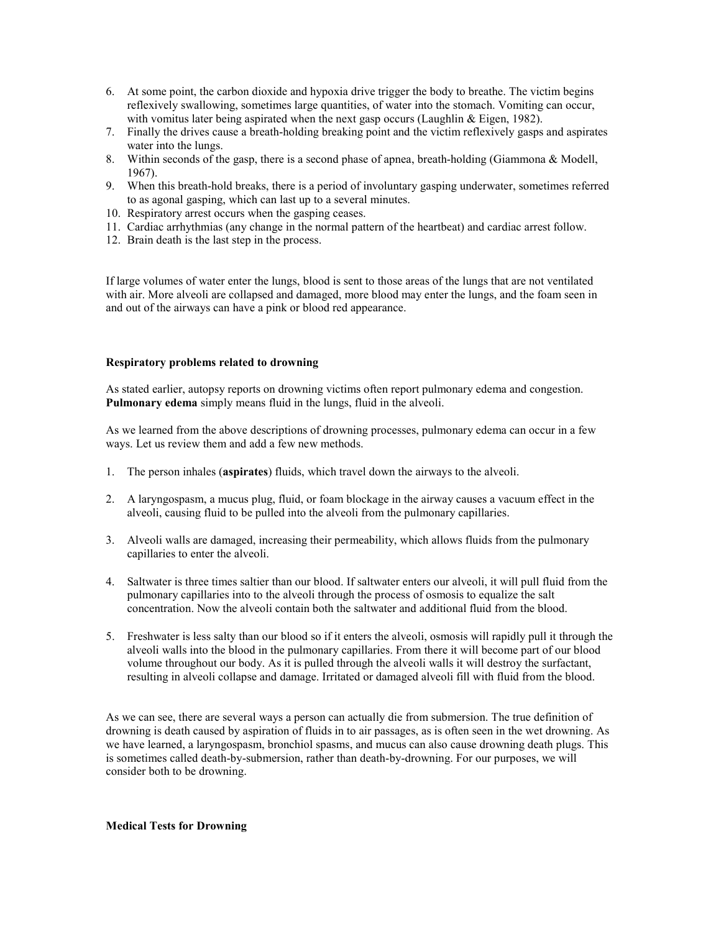- 6. At some point, the carbon dioxide and hypoxia drive trigger the body to breathe. The victim begins reflexively swallowing, sometimes large quantities, of water into the stomach. Vomiting can occur, with vomitus later being aspirated when the next gasp occurs (Laughlin & Eigen, 1982).
- 7. Finally the drives cause a breath-holding breaking point and the victim reflexively gasps and aspirates water into the lungs.
- 8. Within seconds of the gasp, there is a second phase of apnea, breath-holding (Giammona & Modell, 1967).
- 9. When this breath-hold breaks, there is a period of involuntary gasping underwater, sometimes referred to as agonal gasping, which can last up to a several minutes.
- 10. Respiratory arrest occurs when the gasping ceases.
- 11. Cardiac arrhythmias (any change in the normal pattern of the heartbeat) and cardiac arrest follow.
- 12. Brain death is the last step in the process.

If large volumes of water enter the lungs, blood is sent to those areas of the lungs that are not ventilated with air. More alveoli are collapsed and damaged, more blood may enter the lungs, and the foam seen in and out of the airways can have a pink or blood red appearance.

### Respiratory problems related to drowning

As stated earlier, autopsy reports on drowning victims often report pulmonary edema and congestion. Pulmonary edema simply means fluid in the lungs, fluid in the alveoli.

As we learned from the above descriptions of drowning processes, pulmonary edema can occur in a few ways. Let us review them and add a few new methods.

- 1. The person inhales (aspirates) fluids, which travel down the airways to the alveoli.
- 2. A laryngospasm, a mucus plug, fluid, or foam blockage in the airway causes a vacuum effect in the alveoli, causing fluid to be pulled into the alveoli from the pulmonary capillaries.
- 3. Alveoli walls are damaged, increasing their permeability, which allows fluids from the pulmonary capillaries to enter the alveoli.
- 4. Saltwater is three times saltier than our blood. If saltwater enters our alveoli, it will pull fluid from the pulmonary capillaries into to the alveoli through the process of osmosis to equalize the salt concentration. Now the alveoli contain both the saltwater and additional fluid from the blood.
- 5. Freshwater is less salty than our blood so if it enters the alveoli, osmosis will rapidly pull it through the alveoli walls into the blood in the pulmonary capillaries. From there it will become part of our blood volume throughout our body. As it is pulled through the alveoli walls it will destroy the surfactant, resulting in alveoli collapse and damage. Irritated or damaged alveoli fill with fluid from the blood.

As we can see, there are several ways a person can actually die from submersion. The true definition of drowning is death caused by aspiration of fluids in to air passages, as is often seen in the wet drowning. As we have learned, a laryngospasm, bronchiol spasms, and mucus can also cause drowning death plugs. This is sometimes called death-by-submersion, rather than death-by-drowning. For our purposes, we will consider both to be drowning.

Medical Tests for Drowning